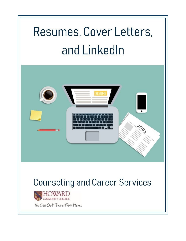# Resumes, Cover Letters, and LinkedIn

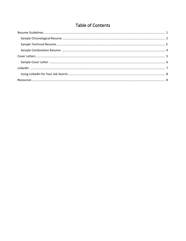### **Table of Contents**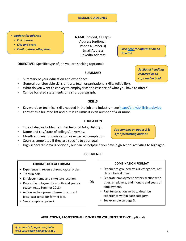- *Options for address*
	- *Full address*
	- *City and state*
	- *Omit address altogether*

**NAME** (bolded, all caps) Address (optional) Phone Number(s) Email Address LinkedIn Address

**OBJECTIVE:** Specific type of job you are seeking (optional)

#### **SUMMARY**

- Summary of your education and experience.
- General transferrable skills or traits (e.g., organizational skills; reliability).
- What do you want to convey to employer as the essence of what you have to offer?
- Can be bulleted statements or a short paragraph.

#### **SKILLS**

- Key words or technical skills needed in the job and industry see [http://bit.ly/skillslistedbyjob.](http://bit.ly/skillslistedbyjob)
- Format as a bulleted list and put in columns if even number of 4 or more.

#### **EDUCATION**

- Title of degree bolded (ex: **Bachelor of Arts, History**).
- Name and city/state of college/university.
- Month and year of completion or expected completion.
- Courses completed if they are specific to your goal.
- High school diploma is optional, but can be helpful if you have high school activities to highlight.

#### **EXPERIENCE**

OR

#### **CHRONOLOGICAL FORMAT**

- Experience in reverse chronological order.
- **Titles** in bold.
- Employer name and city/state location.
- Dates of employment month and year or season (e.g., Summer 2018).
- Action verbs present tense for current jobs; past tense for former jobs.
- See example on page 2.

## **COMBINATION FORMAT**

#### chronological titles. • Separate employment history section with

• Experience grouped by skill categories, not

- titles, employers, and months and years of employment.
- Past tense action verbs to describe experience within each category.
- See example on page 3.

#### **AFFILIATIONS, PROFESSIONAL LICENSES OR VOLUNTEER SERVICE** (optional)

#### *Sectional headings centered in all caps and in bold*

*Click [here](#page-8-0) for information on* 

*LinkedIn*

### *3 for formatting options*

# *See samples on pages 2 &*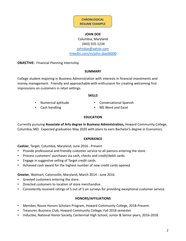**CHRONLOGICAL RESUME EXAMPLE**

#### **JOHN DOE**

Columbia, Maryland (443) 555-1234 [johndoe@yahoo.com](mailto:johndoe@yahoo.com) linkedin.com/in/john-doe00000

**OBJECTIVE:** Financial Planning Internship

#### **SUMMARY**

College student majoring in Business Administration with interests in financial investments and money management. Friendly and approachable with enthusiasm for creating welcoming first impressions on customers in retail settings.

#### **SKILLS**

- Numerical aptitude
- Cash handling
- Conversational Spanish
- MS Word and Excel

#### **EDUCATION**

Currently pursuing **Associate of Arts degree in Business Administration,** Howard Community College, Columbia, MD. Expected graduation May 2020 with plans to earn Bachelor's degree in Economics.

#### **EXPERIENCE**

**Cashier**, Target, Columbia, Maryland, June 2016 - Present

- Provide professional and friendly customer service to all patrons entering the store.
- Process customers' purchases via cash, checks and credit/debit cards.
- Engage in suggestive selling of Target credit cards.
- Achieved cash award for the highest number of new credit cards opened.

**Greeter**, Walmart, Catonsville, Maryland, March 2014 - June 2016

- Greeted customers entering the store.
- Directed customers to location of store merchandise.
- Consistently received ratings of 5 out of 5 on surveys for providing exceptional customer service.

#### **HONORS/AFFILIATIONS**

- Member, Rouse Honors Scholars Program, Howard Community College, 2018-Present.
- Treasurer, Business Club, Howard Community College, Fall 2018 semester.
- Inductee, National Honor Society, Centennial High School, Junior & Senior years, 2016-2018.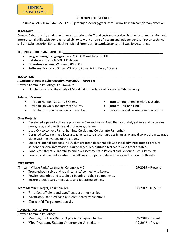#### **JORDAN JOBSEEKER**

Columbia, MD 21042 │443-555-1212 │jordanjobseeker@gmail.com │www.linkedin.com/jordanjobseeker

#### **SUMMARY\_\_\_\_\_\_\_\_\_\_\_\_\_\_\_\_\_\_\_\_\_\_\_\_\_\_\_\_\_\_\_\_\_\_\_\_\_\_\_\_\_\_\_\_\_\_\_\_\_\_\_\_\_\_\_\_\_\_\_\_\_\_\_\_\_\_\_\_\_\_\_\_\_\_\_\_\_\_**

Current Cybersecurity student with work experience in IT and customer service. Excellent communication and interpersonal skills with demonstrated ability to work as part of a team and independently. Proven technical skills in Cybersecurity, Ethical Hacking, Digital Forensics, Network Security, and Quality Assurance.

#### **TECHNICAL SKILLS AND ABILITIES\_\_\_\_\_\_\_\_\_\_\_\_\_\_\_\_\_\_\_\_\_\_\_\_\_\_\_\_\_\_\_\_\_\_\_\_\_\_\_\_\_\_\_\_\_\_\_\_\_\_\_\_\_\_\_\_\_\_\_\_**

- **Programming/ Languages**: Java, C, C++, Visual Basic, HTML
- **Databases:** Oracle 8, SQL, MS Access
- **Operating systems**: Windows XP/ 2000
- **Software**: Microsoft Office (MS Word, PowerPoint, Excel, Access)

#### **EDUCATION\_\_\_\_\_\_\_\_\_\_\_\_\_\_\_\_\_\_\_\_\_\_\_\_\_\_\_\_\_\_\_\_\_\_\_\_\_\_\_\_\_\_\_\_\_\_\_\_\_\_\_\_\_\_\_\_\_\_\_\_\_\_\_\_\_\_\_\_\_\_\_\_\_\_\_\_\_\_**

#### **Associate of Arts in Cybersecurity, May 2020 GPA: 3.6**

Howard Community College, Columbia, MD

• Plan to transfer to University of Maryland for Bachelor of Science in Cybersecurity

#### **Relevant Courses:**

- Intro to Network Security Systems
- Intro to Firewalls and Internet Security
- Intro to Intrusion Detection & Prevention
- Intro to Programming with JavaScript
- Intro to Unix and Linux
- Encryption and Secure Communications

#### **Class Projects:**

- Developed a payroll software program in C++ and Visual Basic that accurately gathers and calculates hours, rate, and overtime and produces gross pay.
- Used C++ to convert Fahrenheit into Celsius and Celsius into Fahrenheit.
- Designed software that allows a teacher to store student grades in an array and displays the max grade along with the average of the grades.
- Built a relational database in SQL that created tables that allows school administrators to procure student personal information, course schedules, aptitude test scores and teacher table.
- Conducted threat, vulnerability and risk assessments in Physical and Personnel Security course
- Created and planned a system that allows a company to detect, delay and respond to threats.

#### **EXPERIENCE**

| IT Intern, Village Park Apartments, Columbia, MD<br>Troubleshoot, solve and repair tenants' connectivity issues.<br>Rewire, assemble and test circuit boards and their components.<br>Ensure circuit boards meet state and federal guidelines. | 09/2019 - Present   |
|------------------------------------------------------------------------------------------------------------------------------------------------------------------------------------------------------------------------------------------------|---------------------|
| Team Member, Target, Columbia, MD<br>Provided efficient and excellent customer service.<br>Accurately handled cash and credit card transactions.<br>Cross-sold Target credit cards.<br>$\bullet$                                               | $06/2017 - 08/2019$ |
| <b>HONORS AND ACTIVITIES</b>                                                                                                                                                                                                                   |                     |
| <b>Howard Community College:</b>                                                                                                                                                                                                               |                     |
| Member, Phi Theta Kappa, Alpha Alpha Sigma Chapter                                                                                                                                                                                             | 09/2018 - Present   |

• Vice-President, Student Government Association 02/2018 - Present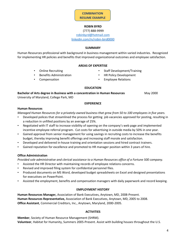#### **COMBINATION RESUME EXAMPLE**

#### **ROBIN BYRD**

#### (777) 888-9999 [robinbyrd@hotmail.com](mailto:robinbyrd@hotmail.com) linkedin.com/in/robin-bird0000

#### **SUMMARY**

Human Resources professional with background in business management within varied industries. Recognized for implementing HR policies and benefits that improved organizational outcomes and employee satisfaction.

#### **AREAS OF EXPERTISE**

- Online Recruiting
- Benefits Administration
- Compensation
- Staff Development/Training
- HR Policy Development
- Employee Relations

#### **EDUCATION**

**Bachelor of Arts degree in Business with a concentration in Human Resources** May 2000 University of Maryland, College Park, MD

**EXPERIENCE**

#### **Human Resources**

*Managed Human Resources for a privately-owned business that grew from 50 to 100 employees in five years.* 

- Developed polices that streamlined the process for getting job vacancies approved for posting, resulting in a reduction in unfilled positions by an average of 25%.
- Negotiated with IT staff to increase visibility of opening on the company's web page and implemented incentive employee referral program. Cut costs for advertising in outside media by 50% in one year.
- Gained approval from senior management for using savings in recruiting costs to increase the benefits budget, thereby improving benefit offerings and increasing staff morale and satisfaction.
- Developed and delivered in-house training and orientation sessions and hired contract trainers.
- Gained reputation for excellence and promoted to HR manager position within 3 years of hire.

#### **Office Administration**

*Provided sole administrative and clerical assistance to a Human Resources office of a Fortune 500 company.*

- Assisted the HR Director with maintaining records of employee relations concerns.
- Revised and improved filing system for confidential personnel files.
- Produced documents on MS Word, developed budget spreadsheets on Excel and designed presentations for executives on PowerPoint.
- Assisted the employment, benefits and compensation managers with daily paperwork and record keeping.

#### **EMPLOYMENT HISTORY**

**Human Resources Manager,** Association of Bank Executives, Anytown, MD, 2008-Present. **Human Resources Representative,** Association of Bank Executives, Anytown, MD, 2005 to 2008. **Office Assistant**, Commercial Creditors, Inc., Anytown, Maryland, 2000-2005.

#### **ACTIVITIES**

**Member**, Society of Human Resource Management (SHRM).

**Volunteer**, Habitat for Humanity, Summers 2005-Present. Assist with building houses throughout the U.S.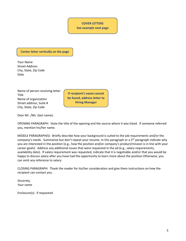#### **COVER LETTERS**

#### **See example next page**

**Center letter vertically on the page**

Your Name Street Address City, State, Zip Code Date

Name of person receiving letter Title Name of organization Street address, Suite # City, State, Zip Code

**If recipient's name cannot be found, address letter to Hiring Manager**

Dear Mr. /Ms. (last name):

OPENING PARAGRAPH: State the title of the opening and the source where it was listed. If someone referred you, mention his/her name.

MIDDLE PARAGRAPH(S): Briefly describe how your background is suited to the job requirements and/or the company's needs. Summarize but don't repeat your resume. In this paragraph or a 3<sup>rd</sup> paragraph indicate why you are interested in the position (e.g., how the position and/or company's product/mission is in line with your career goals). Address any additional issues that were requested in the ad (e.g., salary requirements, availability date). If salary requirement was requested, indicate that it is negotiable and/or that you would be happy to discuss salary after you have had the opportunity to learn more about the position Otherwise, you can omit any reference to salary.

CLOSING PARAGRAPH: Thank the reader for his/her consideration and give them instructions on how the recipient can contact you.

Sincerely, *Your name*

Enclosure(s): if requested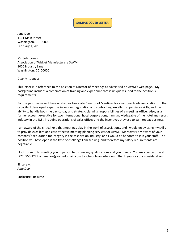**SAMPLE COVER LETTER**

Jane Doe 1111 Main Street Washington, DC 00000 February 1, 2019

Mr. John Jones Association of Widget Manufacturers (AWM) 1000 Industry Lane Washington, DC 00000

Dear Mr. Jones:

This letter is in reference to the position of Director of Meetings as advertised on AWM's web page. My background includes a combination of training and experience that is uniquely suited to the position's requirements.

For the past five years I have worked as Associate Director of Meetings for a national trade association. In that capacity, I developed expertise in vendor negotiation and contracting, excellent supervisory skills, and the ability to handle both the day-to-day and strategic planning responsibilities of a meetings office. Also, as a former account executive for two international hotel corporations, I am knowledgeable of the hotel and resort industry in the U.S., including operations of sales offices and the incentives they use to gain repeat business.

I am aware of the critical role that meetings play in the work of associations, and I would enjoy using my skills to provide excellent and cost-effective meeting planning services for AWM. Moreover I am aware of your company's reputation for integrity in the association industry, and I would be honored to join your staff. The position you have open is the type of challenge I am seeking, and therefore my salary requirements are negotiable.

I look forward to meeting you in person to discuss my qualifications and your needs. You may contact me at (777) 555-1229 or janedoe@somedomain.com to schedule an interview. Thank you for your consideration.

Sincerely, *Jane Doe*

Enclosure: Resume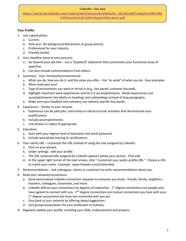#### **LinkedIn - See also**

<span id="page-8-0"></span>**[https://university.linkedin.com/content/dam/university/global/en\\_US/site/pdf/LinkedIn%20Profile](https://university.linkedin.com/content/dam/university/global/en_US/site/pdf/LinkedIn%20Profile%20Checklist%20-%20College%20Students.pdf) [%20Checklist%20-%20College%20Students.pdf](https://university.linkedin.com/content/dam/university/global/en_US/site/pdf/LinkedIn%20Profile%20Checklist%20-%20College%20Students.pdf)**

#### **Your Profile**:

- 1. Use a good photo:
	- a. Current.
	- b. Only you! No background distractions or group picture.
	- c. Professional for your industry.
	- d. Friendly (smile).
- 2. Your Headline (next to your picture):
	- a. Go beyond your job title use a "keyword" statement that summarizes your functional areas of expertise.
	- b. Can also include commendations from others.
- 3. Summary Your introduction/commercial:
	- a. What you do, how you do it, and the value you offer the "so what" of what you do. Give examples.
	- b. What motivates you?
	- c. Type of environment you work or thrive in (e.g., fast paced; customer focused).
	- d. Highlight important work experiences and list 3-5 accomplishments. Break experiences and accomplishments into blocks or headings and subheadings instead of long paragraphs.
	- e. Make sure your headline and summary use industry-specific key words.
- 4. Experience Similar to your resume:
	- a. Experience can be paid jobs, internships or extracurricular activities that demonstrate your qualifications.
	- b. Include accomplishments.
	- c. Link photos or videos if appropriate.
- 5. Education:
	- a. Start with your highest level of education and work backward.
	- b. Include specialized training or certifications.
- 6. Your vanity URL customize the URL instead of using the one assigned by LinkedIn:
	- a. Click on your picture.
	- b. Under settings: edit your profile.
	- c. The URL automatically assigned by LinkedIn appears below your picture. Click edit.
	- d. In the upper right corner of the next screen, click " Customize your public profile URL." Choose a URL to match your name. Example: www.linkedin.com/in/johndoe.
- 7. Recommendations Ask colleagues, clients or customers to write recommendations about you.
- 8. Build your network/connections:
	- a. Send personalized LinkedIn connection requests to everyone you know friends, family, neighbors, teachers, colleagues, classmates, and more.
	- b. LinkedIn defines your connections by degrees of separation.  $1<sup>st</sup>$  degree connections are people who have agreed to connect with you.  $2^{nd}$  degree connections are mutual connections you have with your 1<sup>st</sup> degree connections but have not connected with you yet.
	- c. Give back to your network by offering ideas/suggestions.
	- d. Join groups/associations for your profession or industry.
- 9. Regularly update your profile, including your skills, endorsements and projects.